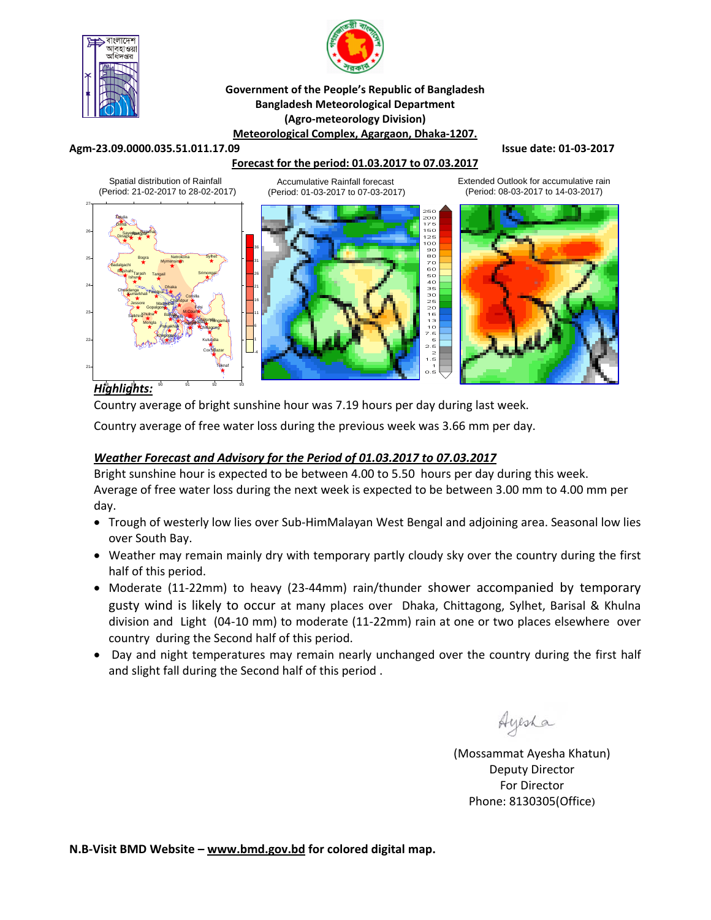



### **Government of the People's Republic of Bangladesh Bangladesh Meteorological Department (Agro‐meteorology Division) Meteorological Complex, Agargaon, Dhaka‐1207.**

#### **Agm‐23.09.0000.035.51.011.17.09 Issue date: 01‐03‐2017**

### **Forecast for the period: 01.03.2017 to 07.03.2017**

Spatial distribution of Rainfall (Period: 21-02-2017 to 28-02-2017)

Accumulative Rainfall forecast (Period: 01-03-2017 to 07-03-2017) Extended Outlook for accumulative rain (Period: 08-03-2017 to 14-03-2017)



# *Highlights:* 88 89 90 91 92 93

Country average of bright sunshine hour was 7.19 hours per day during last week.

Country average of free water loss during the previous week was 3.66 mm per day.

## *Weather Forecast and Advisory for the Period of 01.03.2017 to 07.03.2017*

Bright sunshine hour is expected to be between 4.00 to 5.50 hours per day during this week. Average of free water loss during the next week is expected to be between 3.00 mm to 4.00 mm per day.

- Trough of westerly low lies over Sub-HimMalayan West Bengal and adjoining area. Seasonal low lies over South Bay.
- Weather may remain mainly dry with temporary partly cloudy sky over the country during the first half of this period.
- Moderate (11‐22mm) to heavy (23‐44mm) rain/thunder shower accompanied by temporary gusty wind is likely to occur at many places over Dhaka, Chittagong, Sylhet, Barisal & Khulna division and Light (04‐10 mm) to moderate (11‐22mm) rain at one or two places elsewhere over country during the Second half of this period.
- Day and night temperatures may remain nearly unchanged over the country during the first half and slight fall during the Second half of this period .

(Mossammat Ayesha Khatun) Deputy Director For Director Phone: 8130305(Office)

**N.B‐Visit BMD Website – www.bmd.gov.bd for colored digital map.**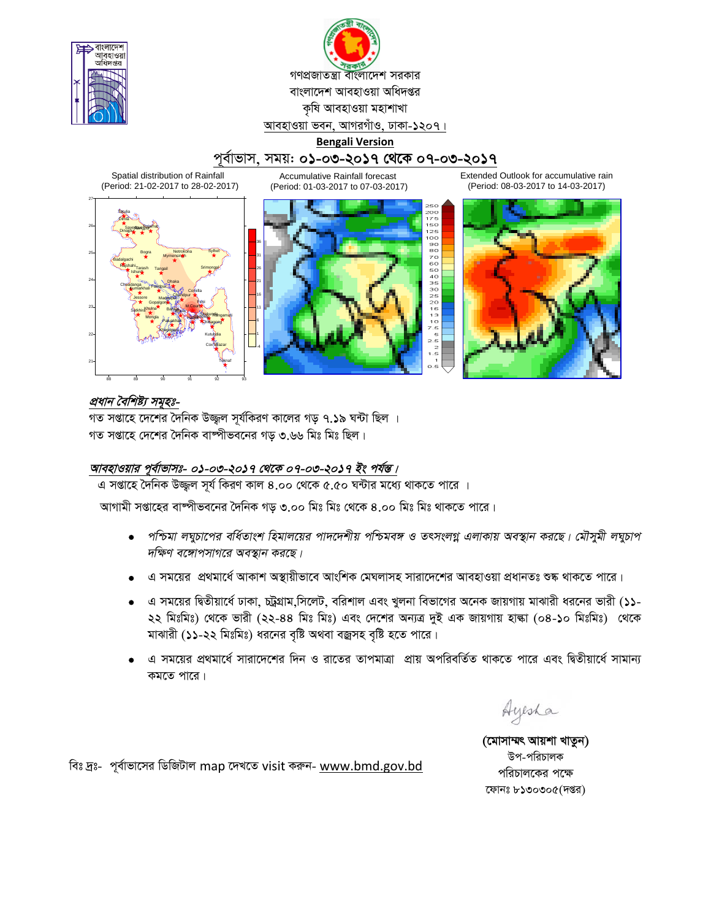



# পূর্বাভাস, সময়: ০**১-০৩-২০১৭ থেকে ০৭-০৩-২০১৭**

60 125 100

20<br>16<br>13 0<br>7.5<br>5

Spatial distribution of Rainfall (Period: 21-02-2017 to 28-02-2017)

Accumulative Rainfall forecast (Period: 01-03-2017 to 07-03-2017) Extended Outlook for accumulative rain (Period: 08-03-2017 to 14-03-2017)





# প্ৰধান বৈশিষ্ট্য সমূহঃ-

গত সপ্তাহে দেশের দৈনিক উজ্জল সূর্যকিরণ কালের গড় ৭.১৯ ঘন্টা ছিল । গত সপ্তাহে দেশের দৈনিক বাষ্পীভবনের গড় ৩.৬৬ মিঃ মিঃ ছিল।

### আবহাওয়ার পূর্বাভাসঃ- ০**১**-০৩-২০১৭ থেকে ০৭-০৩-২০১৭ ইং পর্যন্ত।

এ সপ্তাহে দৈনিক উজ্জুল সূর্য কিরণ কাল ৪.০০ থেকে ৫.৫০ ঘন্টার মধ্যে থাকতে পারে ।

আগামী সপ্তাহের বাষ্পীভবনের দৈনিক গড ৩.০০ মিঃ মিঃ থেকে ৪.০০ মিঃ মিঃ থাকতে পারে।

- পশ্চিমা লঘুচাপের বর্ধিতাংশ হিমালয়ের পাদদেশীয় পশ্চিমবঙ্গ ও তৎসংলগ্ন এলাকায় অবস্থান করছে। মৌসুমী লঘুচাপ *দক্ষিণ বঙ্গোপসাগরে অবস্থান করছে।*
- এ সময়ের প্রথমার্ধে আকাশ অস্থায়ীভাবে আংশিক মেঘলাসহ সারাদেশের আবহাওয়া প্রধানতঃ শুষ্ক থাকতে পারে।
- এ সময়ের দ্বিতীয়ার্ধে ঢাকা, চট্টগ্রাম,সিলেট, বরিশাল এবং খুলনা বিভাগের অনেক জায়গায় মাঝারী ধরনের ভারী (১১-২২ মিঃমিঃ) থেকে ভারী (২২-৪৪ মিঃ মিঃ) এবং দেশের অন্যত্র দুই এক জায়গায় হাল্কা (০৪-১০ মিঃমিঃ) থেকে মাঝারী (১১-২২ মিঃমিঃ) ধরনের বৃষ্টি অথবা বজ্রসহ বৃষ্টি হতে পারে।
- এ সময়ের প্রথমার্ধে সারাদেশের দিন ও রাতের তাপমাত্রা প্রায় অপরিবর্তিত থাকতে পারে এবং দ্বিতীয়ার্ধে সামান্য কমতে পারে।

Ayesha

(মোসাম্মৎ আয়শা খাতুন) উপ-পরিচালক পরিচালকের পক্ষে ফোনঃ  $b$ ১৩০৩০ $c($ দপ্তর)

বিঃ দ্রঃ- পূর্বাভাসের ডিজিটাল map দেখতে visit করুন- www.bmd.gov.bd